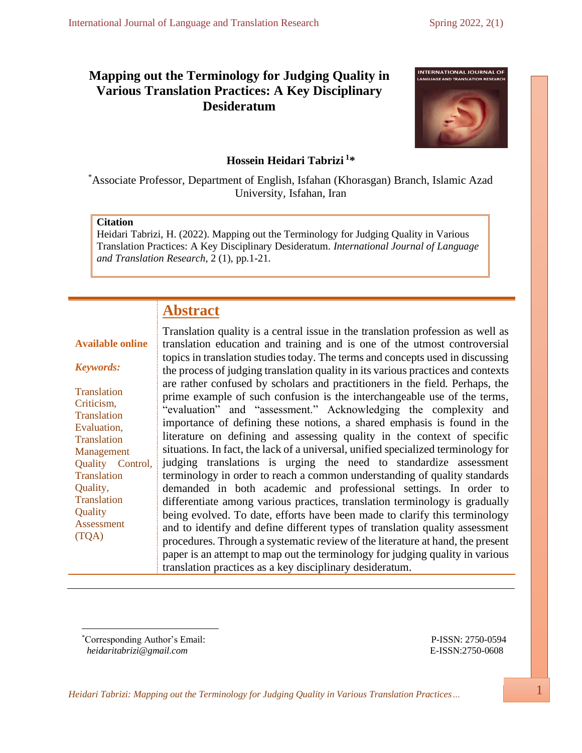# **Mapping out the Terminology for Judging Quality in Various Translation Practices: A Key Disciplinary Desideratum**



# **Hossein Heidari Tabrizi <sup>1</sup> \***

\*Associate Professor, Department of English, Isfahan (Khorasgan) Branch, Islamic Azad University, Isfahan, Iran

## **Citation**

Heidari Tabrizi, H. (2022). Mapping out the Terminology for Judging Quality in Various Translation Practices: A Key Disciplinary Desideratum. *International Journal of Language and Translation Research*, 2 (1), pp.1-21.

# **Abstract**

## **Available online**

#### *Keywords:*

**Translation** Criticism, **Translation** Evaluation, **Translation** Management Quality Control, **Translation** Quality, Translation **Ouality** Assessment (TQA)

Translation quality is a central issue in the translation profession as well as translation education and training and is one of the utmost controversial topics in translation studies today. The terms and concepts used in discussing the process of judging translation quality in its various practices and contexts are rather confused by scholars and practitioners in the field. Perhaps, the prime example of such confusion is the interchangeable use of the terms, "evaluation" and "assessment." Acknowledging the complexity and importance of defining these notions, a shared emphasis is found in the literature on defining and assessing quality in the context of specific situations. In fact, the lack of a universal, unified specialized terminology for judging translations is urging the need to standardize assessment terminology in order to reach a common understanding of quality standards demanded in both academic and professional settings. In order to differentiate among various practices, translation terminology is gradually being evolved. To date, efforts have been made to clarify this terminology and to identify and define different types of translation quality assessment procedures. Through a systematic review of the literature at hand, the present paper is an attempt to map out the terminology for judging quality in various translation practices as a key disciplinary desideratum.

\*Corresponding Author's Email: P-ISSN: 2750-0594  *[heidaritabrizi@gmail.com](mailto:heidaritabrizi@gmail.com)* E-ISSN:2750-0608

*Heidari Tabrizi: Mapping out the Terminology for Judging Quality in Various Translation Practices…* 1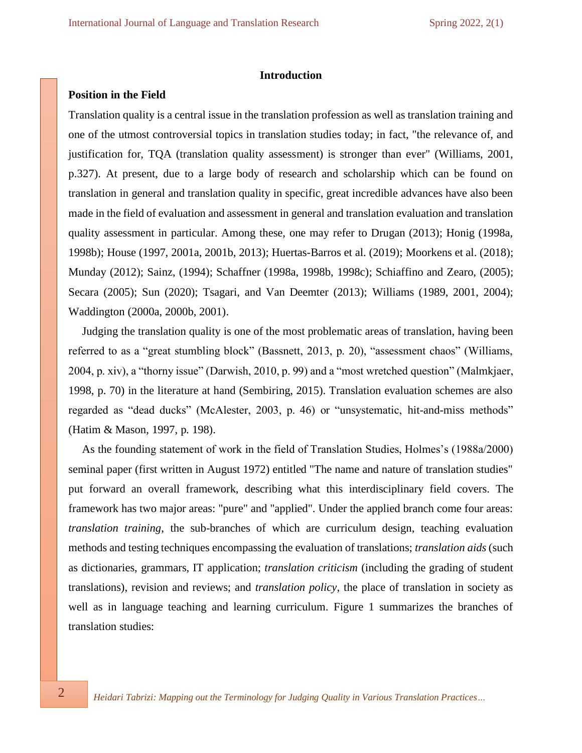## **Introduction**

## **Position in the Field**

Translation quality is a central issue in the translation profession as well as translation training and one of the utmost controversial topics in translation studies today; in fact, "the relevance of, and justification for, TQA (translation quality assessment) is stronger than ever" (Williams, 2001, p.327). At present, due to a large body of research and scholarship which can be found on translation in general and translation quality in specific, great incredible advances have also been made in the field of evaluation and assessment in general and translation evaluation and translation quality assessment in particular. Among these, one may refer to Drugan (2013); Honig (1998a, 1998b); House (1997, 2001a, 2001b, 2013); Huertas-Barros et al. (2019); Moorkens et al. (2018); Munday (2012); Sainz, (1994); Schaffner (1998a, 1998b, 1998c); Schiaffino and Zearo, (2005); Secara (2005); Sun (2020); Tsagari, and Van Deemter (2013); Williams (1989, 2001, 2004); Waddington (2000a, 2000b, 2001).

Judging the translation quality is one of the most problematic areas of translation, having been referred to as a "great stumbling block" (Bassnett, 2013, p. 20), "assessment chaos" (Williams, 2004, p. xiv), a "thorny issue" (Darwish, 2010, p. 99) and a "most wretched question" (Malmkjaer, 1998, p. 70) in the literature at hand (Sembiring, 2015). Translation evaluation schemes are also regarded as "dead ducks" (McAlester, 2003, p. 46) or "unsystematic, hit-and-miss methods" (Hatim & Mason, 1997, p. 198).

As the founding statement of work in the field of Translation Studies, Holmes's (1988a/2000) seminal paper (first written in August 1972) entitled "The name and nature of translation studies" put forward an overall framework, describing what this interdisciplinary field covers. The framework has two major areas: "pure" and "applied". Under the applied branch come four areas: *translation training*, the sub-branches of which are curriculum design, teaching evaluation methods and testing techniques encompassing the evaluation of translations; *translation aids* (such as dictionaries, grammars, IT application; *translation criticism* (including the grading of student translations), revision and reviews; and *translation policy*, the place of translation in society as well as in language teaching and learning curriculum. Figure 1 summarizes the branches of translation studies: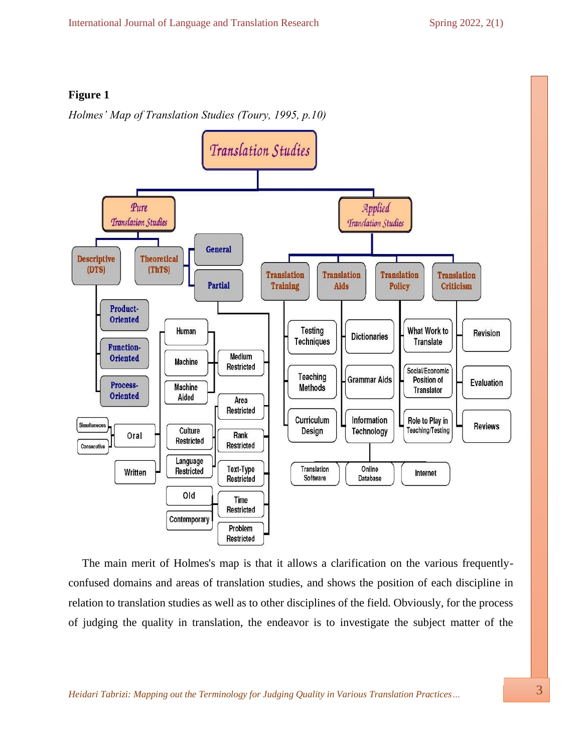## **Figure 1**

*Holmes' Map of Translation Studies (Toury, 1995, p.10)* 



The main merit of Holmes's map is that it allows a clarification on the various frequentlyconfused domains and areas of translation studies, and shows the position of each discipline in relation to translation studies as well as to other disciplines of the field. Obviously, for the process of judging the quality in translation, the endeavor is to investigate the subject matter of the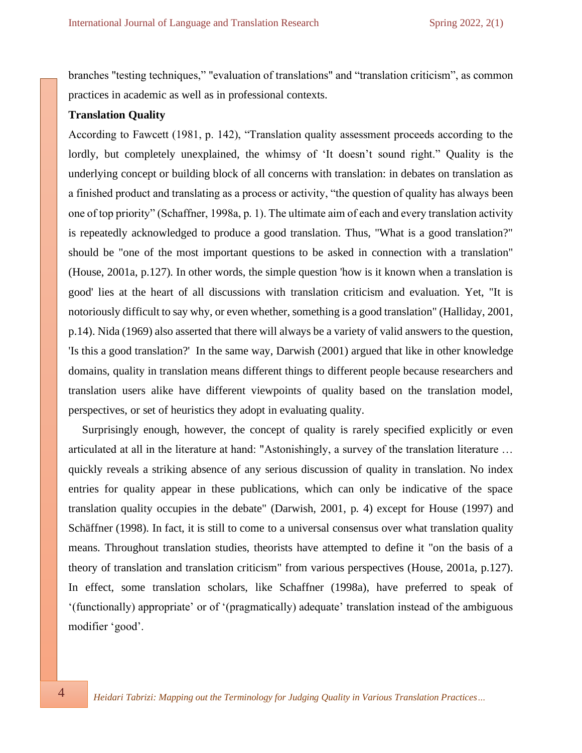branches "testing techniques," "evaluation of translations" and "translation criticism", as common practices in academic as well as in professional contexts.

## **Translation Quality**

According to Fawcett (1981, p. 142), "Translation quality assessment proceeds according to the lordly, but completely unexplained, the whimsy of 'It doesn't sound right." Quality is the underlying concept or building block of all concerns with translation: in debates on translation as a finished product and translating as a process or activity, "the question of quality has always been one of top priority" (Schaffner, 1998a, p. 1). The ultimate aim of each and every translation activity is repeatedly acknowledged to produce a good translation. Thus, "What is a good translation?" should be "one of the most important questions to be asked in connection with a translation" (House, 2001a, p.127). In other words, the simple question 'how is it known when a translation is good' lies at the heart of all discussions with translation criticism and evaluation. Yet, "It is notoriously difficult to say why, or even whether, something is a good translation" (Halliday, 2001, p.14). Nida (1969) also asserted that there will always be a variety of valid answers to the question, 'Is this a good translation?' In the same way, Darwish (2001) argued that like in other knowledge domains, quality in translation means different things to different people because researchers and translation users alike have different viewpoints of quality based on the translation model, perspectives, or set of heuristics they adopt in evaluating quality.

Surprisingly enough, however, the concept of quality is rarely specified explicitly or even articulated at all in the literature at hand: "Astonishingly, a survey of the translation literature … quickly reveals a striking absence of any serious discussion of quality in translation. No index entries for quality appear in these publications, which can only be indicative of the space translation quality occupies in the debate" (Darwish, 2001, p. 4) except for House (1997) and Schäffner (1998). In fact, it is still to come to a universal consensus over what translation quality means. Throughout translation studies, theorists have attempted to define it "on the basis of a theory of translation and translation criticism" from various perspectives (House, 2001a, p.127). In effect, some translation scholars, like Schaffner (1998a), have preferred to speak of '(functionally) appropriate' or of '(pragmatically) adequate' translation instead of the ambiguous modifier 'good'.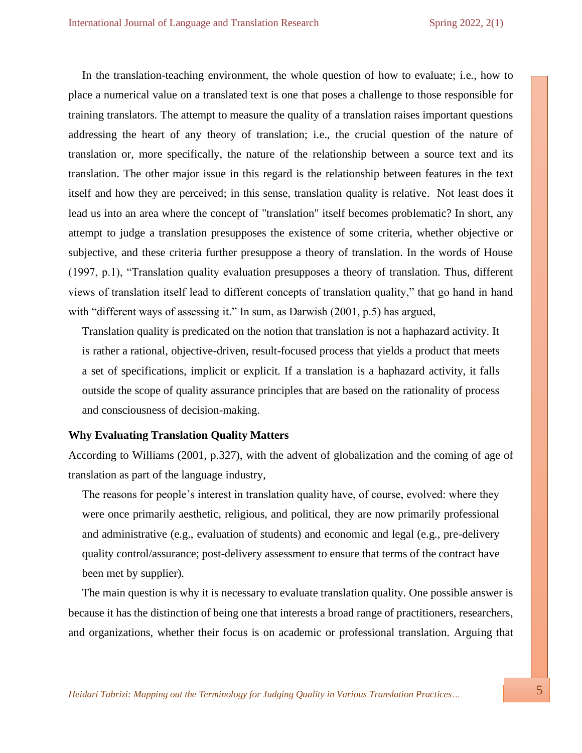In the translation-teaching environment, the whole question of how to evaluate; i.e., how to place a numerical value on a translated text is one that poses a challenge to those responsible for training translators. The attempt to measure the quality of a translation raises important questions addressing the heart of any theory of translation; i.e., the crucial question of the nature of translation or, more specifically, the nature of the relationship between a source text and its translation. The other major issue in this regard is the relationship between features in the text itself and how they are perceived; in this sense, translation quality is relative. Not least does it lead us into an area where the concept of "translation" itself becomes problematic? In short, any attempt to judge a translation presupposes the existence of some criteria, whether objective or subjective, and these criteria further presuppose a theory of translation. In the words of House (1997, p.1), "Translation quality evaluation presupposes a theory of translation. Thus, different views of translation itself lead to different concepts of translation quality," that go hand in hand with "different ways of assessing it." In sum, as Darwish (2001, p.5) has argued,

Translation quality is predicated on the notion that translation is not a haphazard activity. It is rather a rational, objective-driven, result-focused process that yields a product that meets a set of specifications, implicit or explicit. If a translation is a haphazard activity, it falls outside the scope of quality assurance principles that are based on the rationality of process and consciousness of decision-making.

## **Why Evaluating Translation Quality Matters**

According to Williams (2001, p.327), with the advent of globalization and the coming of age of translation as part of the language industry,

The reasons for people's interest in translation quality have, of course, evolved: where they were once primarily aesthetic, religious, and political, they are now primarily professional and administrative (e.g., evaluation of students) and economic and legal (e.g., pre-delivery quality control/assurance; post-delivery assessment to ensure that terms of the contract have been met by supplier).

The main question is why it is necessary to evaluate translation quality. One possible answer is because it has the distinction of being one that interests a broad range of practitioners, researchers, and organizations, whether their focus is on academic or professional translation. Arguing that

*Heidari Tabrizi: Mapping out the Terminology for Judging Quality in Various Translation Practices…* 5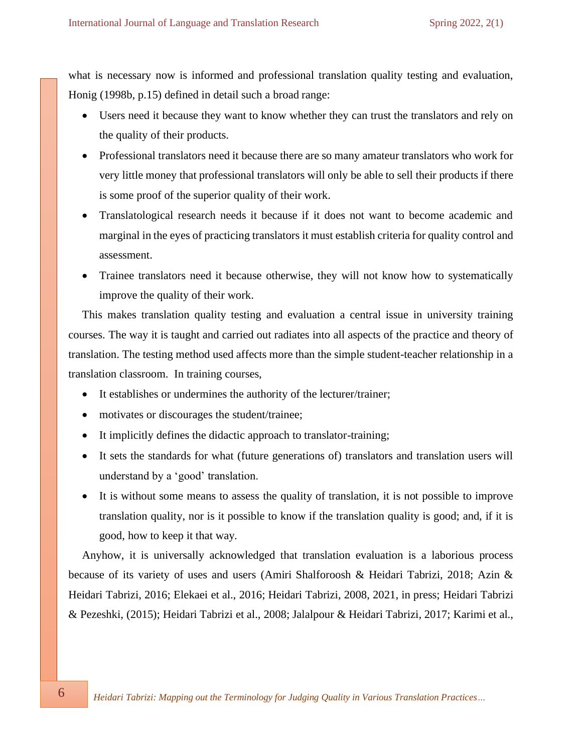what is necessary now is informed and professional translation quality testing and evaluation, Honig (1998b, p.15) defined in detail such a broad range:

- Users need it because they want to know whether they can trust the translators and rely on the quality of their products.
- Professional translators need it because there are so many amateur translators who work for very little money that professional translators will only be able to sell their products if there is some proof of the superior quality of their work.
- Translatological research needs it because if it does not want to become academic and marginal in the eyes of practicing translators it must establish criteria for quality control and assessment.
- Trainee translators need it because otherwise, they will not know how to systematically improve the quality of their work.

This makes translation quality testing and evaluation a central issue in university training courses. The way it is taught and carried out radiates into all aspects of the practice and theory of translation. The testing method used affects more than the simple student-teacher relationship in a translation classroom. In training courses,

- It establishes or undermines the authority of the lecturer/trainer;
- motivates or discourages the student/trainee;
- It implicitly defines the didactic approach to translator-training;
- It sets the standards for what (future generations of) translations and translation users will understand by a 'good' translation.
- It is without some means to assess the quality of translation, it is not possible to improve translation quality, nor is it possible to know if the translation quality is good; and, if it is good, how to keep it that way.

Anyhow, it is universally acknowledged that translation evaluation is a laborious process because of its variety of uses and users (Amiri Shalforoosh & Heidari Tabrizi, 2018; Azin & Heidari Tabrizi, 2016; Elekaei et al., 2016; Heidari Tabrizi, 2008, 2021, in press; Heidari Tabrizi & Pezeshki, (2015); Heidari Tabrizi et al., 2008; Jalalpour & Heidari Tabrizi, 2017; Karimi et al.,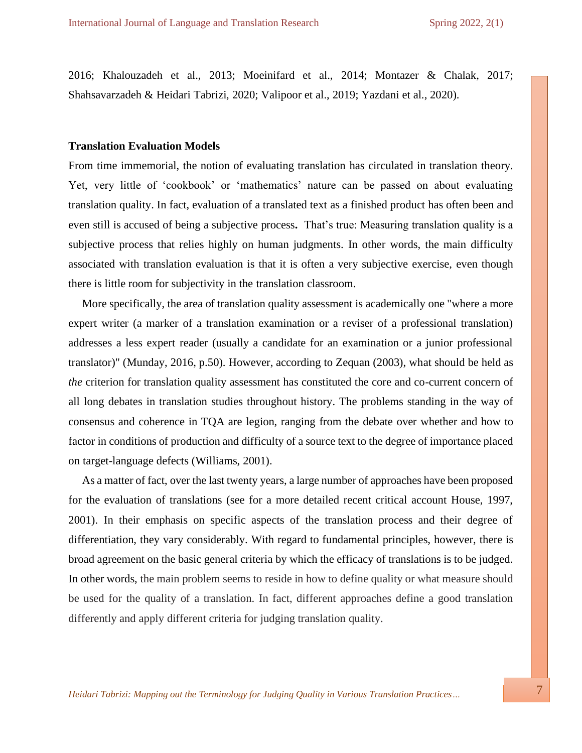2016; Khalouzadeh et al., 2013; Moeinifard et al., 2014; Montazer & Chalak, 2017; Shahsavarzadeh & Heidari Tabrizi, 2020; Valipoor et al., 2019; Yazdani et al., 2020).

## **Translation Evaluation Models**

From time immemorial, the notion of evaluating translation has circulated in translation theory. Yet, very little of 'cookbook' or 'mathematics' nature can be passed on about evaluating translation quality. In fact, evaluation of a translated text as a finished product has often been and even still is accused of being a subjective process**.** That's true: Measuring translation quality is a subjective process that relies highly on human judgments. In other words, the main difficulty associated with translation evaluation is that it is often a very subjective exercise, even though there is little room for subjectivity in the translation classroom.

More specifically, the area of translation quality assessment is academically one "where a more expert writer (a marker of a translation examination or a reviser of a professional translation) addresses a less expert reader (usually a candidate for an examination or a junior professional translator)" (Munday, 2016, p.50). However, according to Zequan (2003), what should be held as *the* criterion for translation quality assessment has constituted the core and co-current concern of all long debates in translation studies throughout history. The problems standing in the way of consensus and coherence in TQA are legion, ranging from the debate over whether and how to factor in conditions of production and difficulty of a source text to the degree of importance placed on target-language defects (Williams, 2001).

As a matter of fact, over the last twenty years, a large number of approaches have been proposed for the evaluation of translations (see for a more detailed recent critical account House, 1997, 2001). In their emphasis on specific aspects of the translation process and their degree of differentiation, they vary considerably. With regard to fundamental principles, however, there is broad agreement on the basic general criteria by which the efficacy of translations is to be judged. In other words, the main problem seems to reside in how to define quality or what measure should be used for the quality of a translation. In fact, different approaches define a good translation differently and apply different criteria for judging translation quality.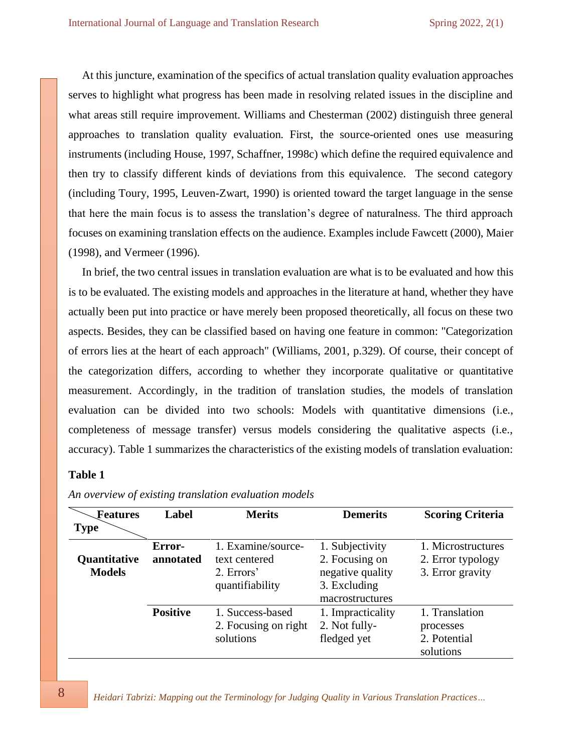At this juncture, examination of the specifics of actual translation quality evaluation approaches serves to highlight what progress has been made in resolving related issues in the discipline and what areas still require improvement. Williams and Chesterman (2002) distinguish three general approaches to translation quality evaluation. First, the source-oriented ones use measuring instruments (including House, 1997, Schaffner, 1998c) which define the required equivalence and then try to classify different kinds of deviations from this equivalence. The second category (including Toury, 1995, Leuven-Zwart, 1990) is oriented toward the target language in the sense that here the main focus is to assess the translation's degree of naturalness. The third approach focuses on examining translation effects on the audience. Examples include Fawcett (2000), Maier (1998), and Vermeer (1996).

In brief, the two central issues in translation evaluation are what is to be evaluated and how this is to be evaluated. The existing models and approaches in the literature at hand, whether they have actually been put into practice or have merely been proposed theoretically, all focus on these two aspects. Besides, they can be classified based on having one feature in common: "Categorization of errors lies at the heart of each approach" (Williams, 2001, p.329). Of course, their concept of the categorization differs, according to whether they incorporate qualitative or quantitative measurement. Accordingly, in the tradition of translation studies, the models of translation evaluation can be divided into two schools: Models with quantitative dimensions (i.e., completeness of message transfer) versus models considering the qualitative aspects (i.e., accuracy). Table 1 summarizes the characteristics of the existing models of translation evaluation:

## **Table 1**

| Features      | Label           | <b>Merits</b>        | <b>Demerits</b>   | <b>Scoring Criteria</b> |
|---------------|-----------------|----------------------|-------------------|-------------------------|
| <b>Type</b>   |                 |                      |                   |                         |
|               | Error-          | 1. Examine/source-   | 1. Subjectivity   | 1. Microstructures      |
| Quantitative  | annotated       | text centered        | 2. Focusing on    | 2. Error typology       |
| <b>Models</b> |                 | 2. Errors'           | negative quality  | 3. Error gravity        |
|               |                 | quantifiability      | 3. Excluding      |                         |
|               |                 |                      | macrostructures   |                         |
|               | <b>Positive</b> | 1. Success-based     | 1. Impracticality | 1. Translation          |
|               |                 | 2. Focusing on right | 2. Not fully-     | processes               |
|               |                 | solutions            | fledged yet       | 2. Potential            |
|               |                 |                      |                   | solutions               |

*An overview of existing translation evaluation models*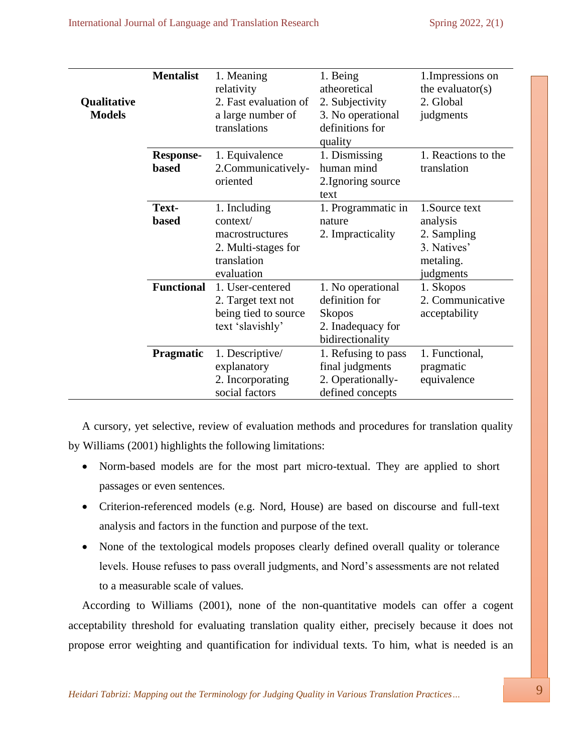|               | <b>Mentalist</b>  | 1. Meaning            | 1. Being            | 1. Impressions on   |
|---------------|-------------------|-----------------------|---------------------|---------------------|
|               |                   | relativity            | atheoretical        | the evaluator $(s)$ |
| Qualitative   |                   | 2. Fast evaluation of | 2. Subjectivity     | 2. Global           |
| <b>Models</b> |                   | a large number of     | 3. No operational   | judgments           |
|               |                   | translations          | definitions for     |                     |
|               |                   |                       | quality             |                     |
|               | <b>Response-</b>  | 1. Equivalence        | 1. Dismissing       | 1. Reactions to the |
|               | <b>based</b>      | 2. Communicatively-   | human mind          | translation         |
|               |                   | oriented              | 2. Ignoring source  |                     |
|               |                   |                       | text                |                     |
|               | Text-             | 1. Including          | 1. Programmatic in  | 1. Source text      |
|               | <b>based</b>      | context/              | nature              | analysis            |
|               |                   | macrostructures       | 2. Impracticality   | 2. Sampling         |
|               |                   | 2. Multi-stages for   |                     | 3. Natives'         |
|               |                   | translation           |                     | metaling.           |
|               |                   | evaluation            |                     | judgments           |
|               | <b>Functional</b> | 1. User-centered      | 1. No operational   | 1. Skopos           |
|               |                   | 2. Target text not    | definition for      | 2. Communicative    |
|               |                   | being tied to source  | <b>Skopos</b>       | acceptability       |
|               |                   | text 'slavishly'      | 2. Inadequacy for   |                     |
|               |                   |                       | bidirectionality    |                     |
|               | Pragmatic         | 1. Descriptive/       | 1. Refusing to pass | 1. Functional,      |
|               |                   | explanatory           | final judgments     | pragmatic           |
|               |                   | 2. Incorporating      | 2. Operationally-   | equivalence         |
|               |                   | social factors        | defined concepts    |                     |

A cursory, yet selective, review of evaluation methods and procedures for translation quality by Williams (2001) highlights the following limitations:

- Norm-based models are for the most part micro-textual. They are applied to short passages or even sentences.
- Criterion-referenced models (e.g. Nord, House) are based on discourse and full-text analysis and factors in the function and purpose of the text.
- None of the textological models proposes clearly defined overall quality or tolerance levels. House refuses to pass overall judgments, and Nord's assessments are not related to a measurable scale of values.

According to Williams (2001), none of the non-quantitative models can offer a cogent acceptability threshold for evaluating translation quality either, precisely because it does not propose error weighting and quantification for individual texts. To him, what is needed is an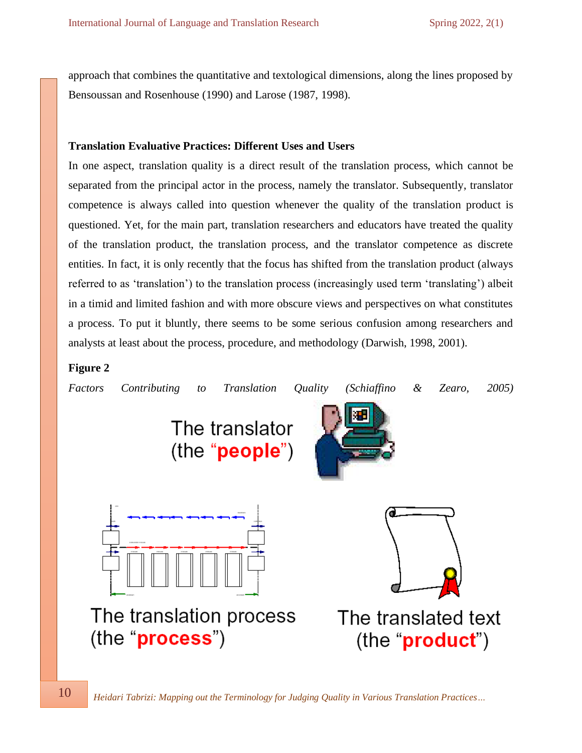approach that combines the quantitative and textological dimensions, along the lines proposed by Bensoussan and Rosenhouse (1990) and Larose (1987, 1998).

## **Translation Evaluative Practices: Different Uses and Users**

In one aspect, translation quality is a direct result of the translation process, which cannot be separated from the principal actor in the process, namely the translator. Subsequently, translator competence is always called into question whenever the quality of the translation product is questioned. Yet, for the main part, translation researchers and educators have treated the quality of the translation product, the translation process, and the translator competence as discrete entities. In fact, it is only recently that the focus has shifted from the translation product (always referred to as 'translation') to the translation process (increasingly used term 'translating') albeit in a timid and limited fashion and with more obscure views and perspectives on what constitutes a process. To put it bluntly, there seems to be some serious confusion among researchers and analysts at least about the process, procedure, and methodology (Darwish, 1998, 2001).

## **Figure 2**



 *Heidari Tabrizi: Mapping out the Terminology for Judging Quality in Various Translation Practices…*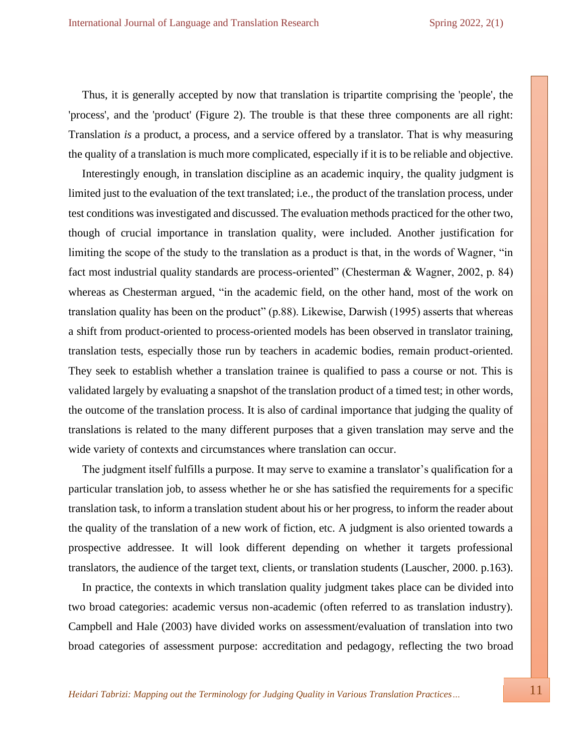Thus, it is generally accepted by now that translation is tripartite comprising the 'people', the 'process', and the 'product' (Figure 2). The trouble is that these three components are all right: Translation *is* a product, a process, and a service offered by a translator. That is why measuring the quality of a translation is much more complicated, especially if it is to be reliable and objective.

Interestingly enough, in translation discipline as an academic inquiry, the quality judgment is limited just to the evaluation of the text translated; i.e., the product of the translation process, under test conditions was investigated and discussed. The evaluation methods practiced for the other two, though of crucial importance in translation quality, were included. Another justification for limiting the scope of the study to the translation as a product is that, in the words of Wagner, "in fact most industrial quality standards are process-oriented" (Chesterman & Wagner, 2002, p. 84) whereas as Chesterman argued, "in the academic field, on the other hand, most of the work on translation quality has been on the product" (p.88). Likewise, Darwish (1995) asserts that whereas a shift from product-oriented to process-oriented models has been observed in translator training, translation tests, especially those run by teachers in academic bodies, remain product-oriented. They seek to establish whether a translation trainee is qualified to pass a course or not. This is validated largely by evaluating a snapshot of the translation product of a timed test; in other words, the outcome of the translation process. It is also of cardinal importance that judging the quality of translations is related to the many different purposes that a given translation may serve and the wide variety of contexts and circumstances where translation can occur.

The judgment itself fulfills a purpose. It may serve to examine a translator's qualification for a particular translation job, to assess whether he or she has satisfied the requirements for a specific translation task, to inform a translation student about his or her progress, to inform the reader about the quality of the translation of a new work of fiction, etc. A judgment is also oriented towards a prospective addressee. It will look different depending on whether it targets professional translators, the audience of the target text, clients, or translation students (Lauscher, 2000. p.163).

In practice, the contexts in which translation quality judgment takes place can be divided into two broad categories: academic versus non-academic (often referred to as translation industry). Campbell and Hale (2003) have divided works on assessment/evaluation of translation into two broad categories of assessment purpose: accreditation and pedagogy, reflecting the two broad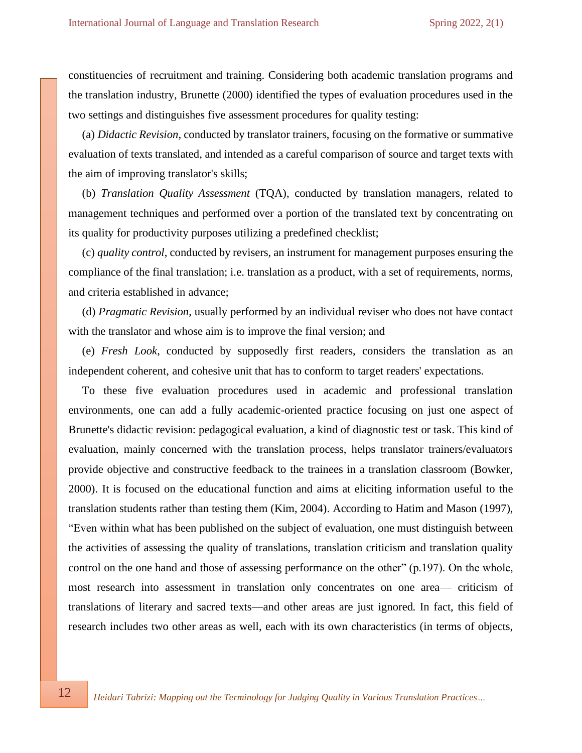constituencies of recruitment and training. Considering both academic translation programs and the translation industry, Brunette (2000) identified the types of evaluation procedures used in the two settings and distinguishes five assessment procedures for quality testing:

(a) *Didactic Revision*, conducted by translator trainers, focusing on the formative or summative evaluation of texts translated, and intended as a careful comparison of source and target texts with the aim of improving translator's skills;

(b) *Translation Quality Assessment* (TQA), conducted by translation managers, related to management techniques and performed over a portion of the translated text by concentrating on its quality for productivity purposes utilizing a predefined checklist;

(c) *quality control*, conducted by revisers, an instrument for management purposes ensuring the compliance of the final translation; i.e. translation as a product, with a set of requirements, norms, and criteria established in advance;

(d) *Pragmatic Revision*, usually performed by an individual reviser who does not have contact with the translator and whose aim is to improve the final version; and

(e) *Fresh Look*, conducted by supposedly first readers, considers the translation as an independent coherent, and cohesive unit that has to conform to target readers' expectations.

To these five evaluation procedures used in academic and professional translation environments, one can add a fully academic-oriented practice focusing on just one aspect of Brunette's didactic revision: pedagogical evaluation, a kind of diagnostic test or task. This kind of evaluation, mainly concerned with the translation process, helps translator trainers/evaluators provide objective and constructive feedback to the trainees in a translation classroom (Bowker, 2000). It is focused on the educational function and aims at eliciting information useful to the translation students rather than testing them (Kim, 2004). According to Hatim and Mason (1997), "Even within what has been published on the subject of evaluation, one must distinguish between the activities of assessing the quality of translations, translation criticism and translation quality control on the one hand and those of assessing performance on the other" (p.197). On the whole, most research into assessment in translation only concentrates on one area— criticism of translations of literary and sacred texts—and other areas are just ignored. In fact, this field of research includes two other areas as well, each with its own characteristics (in terms of objects,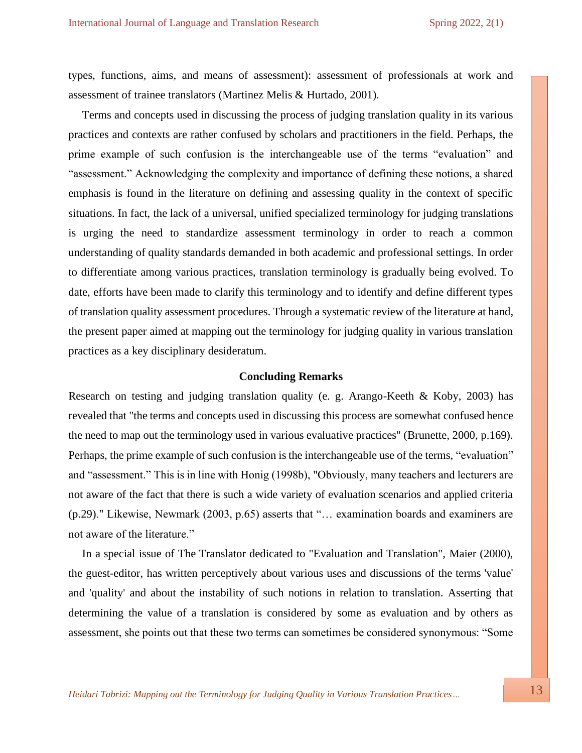types, functions, aims, and means of assessment): assessment of professionals at work and assessment of trainee translators (Martinez Melis & Hurtado, 2001).

Terms and concepts used in discussing the process of judging translation quality in its various practices and contexts are rather confused by scholars and practitioners in the field. Perhaps, the prime example of such confusion is the interchangeable use of the terms "evaluation" and "assessment." Acknowledging the complexity and importance of defining these notions, a shared emphasis is found in the literature on defining and assessing quality in the context of specific situations. In fact, the lack of a universal, unified specialized terminology for judging translations is urging the need to standardize assessment terminology in order to reach a common understanding of quality standards demanded in both academic and professional settings. In order to differentiate among various practices, translation terminology is gradually being evolved. To date, efforts have been made to clarify this terminology and to identify and define different types of translation quality assessment procedures. Through a systematic review of the literature at hand, the present paper aimed at mapping out the terminology for judging quality in various translation practices as a key disciplinary desideratum.

## **Concluding Remarks**

Research on testing and judging translation quality (e. g. Arango-Keeth & Koby, 2003) has revealed that "the terms and concepts used in discussing this process are somewhat confused hence the need to map out the terminology used in various evaluative practices" (Brunette, 2000, p.169). Perhaps, the prime example of such confusion is the interchangeable use of the terms, "evaluation" and "assessment." This is in line with Honig (1998b), "Obviously, many teachers and lecturers are not aware of the fact that there is such a wide variety of evaluation scenarios and applied criteria (p.29)." Likewise, Newmark (2003, p.65) asserts that "… examination boards and examiners are not aware of the literature."

In a special issue of The Translator dedicated to "Evaluation and Translation", Maier (2000), the guest-editor, has written perceptively about various uses and discussions of the terms 'value' and 'quality' and about the instability of such notions in relation to translation. Asserting that determining the value of a translation is considered by some as evaluation and by others as assessment, she points out that these two terms can sometimes be considered synonymous: "Some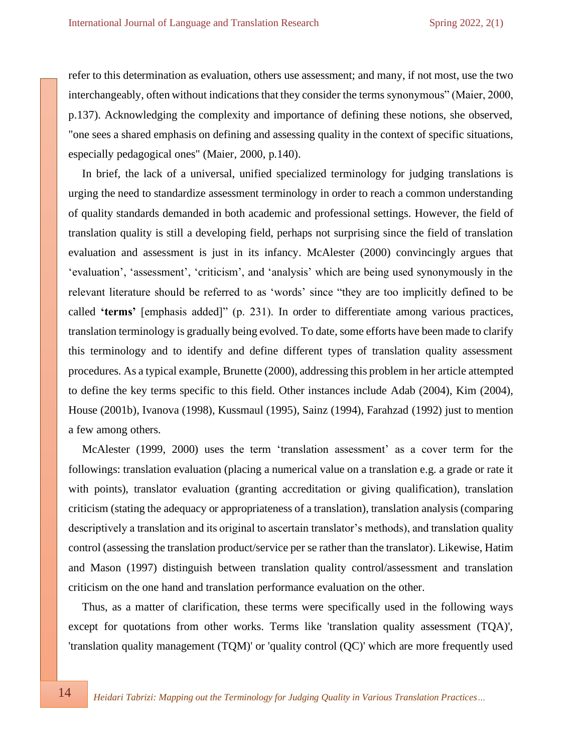refer to this determination as evaluation, others use assessment; and many, if not most, use the two interchangeably, often without indications that they consider the terms synonymous" (Maier, 2000, p.137). Acknowledging the complexity and importance of defining these notions, she observed, "one sees a shared emphasis on defining and assessing quality in the context of specific situations, especially pedagogical ones" (Maier, 2000, p.140).

In brief, the lack of a universal, unified specialized terminology for judging translations is urging the need to standardize assessment terminology in order to reach a common understanding of quality standards demanded in both academic and professional settings. However, the field of translation quality is still a developing field, perhaps not surprising since the field of translation evaluation and assessment is just in its infancy. McAlester (2000) convincingly argues that 'evaluation', 'assessment', 'criticism', and 'analysis' which are being used synonymously in the relevant literature should be referred to as 'words' since "they are too implicitly defined to be called **'terms'** [emphasis added]" (p. 231). In order to differentiate among various practices, translation terminology is gradually being evolved. To date, some efforts have been made to clarify this terminology and to identify and define different types of translation quality assessment procedures. As a typical example, Brunette (2000), addressing this problem in her article attempted to define the key terms specific to this field. Other instances include Adab (2004), Kim (2004), House (2001b), Ivanova (1998), Kussmaul (1995), Sainz (1994), Farahzad (1992) just to mention a few among others.

McAlester (1999, 2000) uses the term 'translation assessment' as a cover term for the followings: translation evaluation (placing a numerical value on a translation e.g. a grade or rate it with points), translator evaluation (granting accreditation or giving qualification), translation criticism (stating the adequacy or appropriateness of a translation), translation analysis (comparing descriptively a translation and its original to ascertain translator's methods), and translation quality control (assessing the translation product/service per se rather than the translator). Likewise, Hatim and Mason (1997) distinguish between translation quality control/assessment and translation criticism on the one hand and translation performance evaluation on the other.

Thus, as a matter of clarification, these terms were specifically used in the following ways except for quotations from other works. Terms like 'translation quality assessment (TQA)', 'translation quality management (TQM)' or 'quality control (QC)' which are more frequently used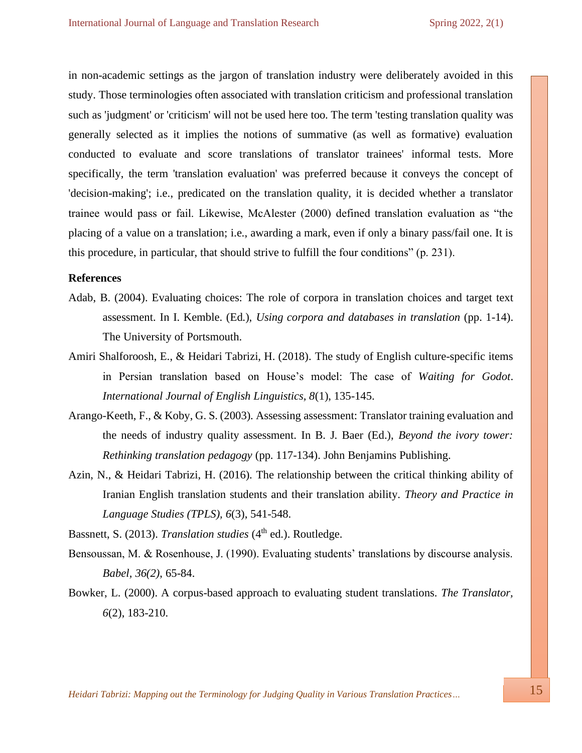in non-academic settings as the jargon of translation industry were deliberately avoided in this study. Those terminologies often associated with translation criticism and professional translation such as 'judgment' or 'criticism' will not be used here too. The term 'testing translation quality was generally selected as it implies the notions of summative (as well as formative) evaluation conducted to evaluate and score translations of translator trainees' informal tests. More specifically, the term 'translation evaluation' was preferred because it conveys the concept of 'decision-making'; i.e., predicated on the translation quality, it is decided whether a translator trainee would pass or fail. Likewise, McAlester (2000) defined translation evaluation as "the placing of a value on a translation; i.e., awarding a mark, even if only a binary pass/fail one. It is this procedure, in particular, that should strive to fulfill the four conditions" (p. 231).

## **References**

- Adab, B. (2004). Evaluating choices: The role of corpora in translation choices and target text assessment. In I. Kemble. (Ed.), *Using corpora and databases in translation* (pp. 1-14). The University of Portsmouth.
- Amiri Shalforoosh, E., & Heidari Tabrizi, H. (2018). The study of English culture-specific items in Persian translation based on House's model: The case of *Waiting for Godot*. *International Journal of English Linguistics, 8*(1), 135-145.
- Arango-Keeth, F., & Koby, G. S. (2003). Assessing assessment: Translator training evaluation and the needs of industry quality assessment. In B. J. Baer (Ed.), *Beyond the ivory tower: Rethinking translation pedagogy* (pp. 117-134). John Benjamins Publishing.
- Azin, N., & Heidari Tabrizi, H. (2016). The relationship between the critical thinking ability of Iranian English translation students and their translation ability. *Theory and Practice in Language Studies (TPLS), 6*(3), 541-548.
- Bassnett, S. (2013). *Translation studies* (4<sup>th</sup> ed.). Routledge.
- Bensoussan, M. & Rosenhouse, J. (1990). Evaluating students' translations by discourse analysis. *Babel, 36(2)*, 65-84.
- Bowker, L. (2000). A corpus-based approach to evaluating student translations. *The Translator, 6*(2), 183-210.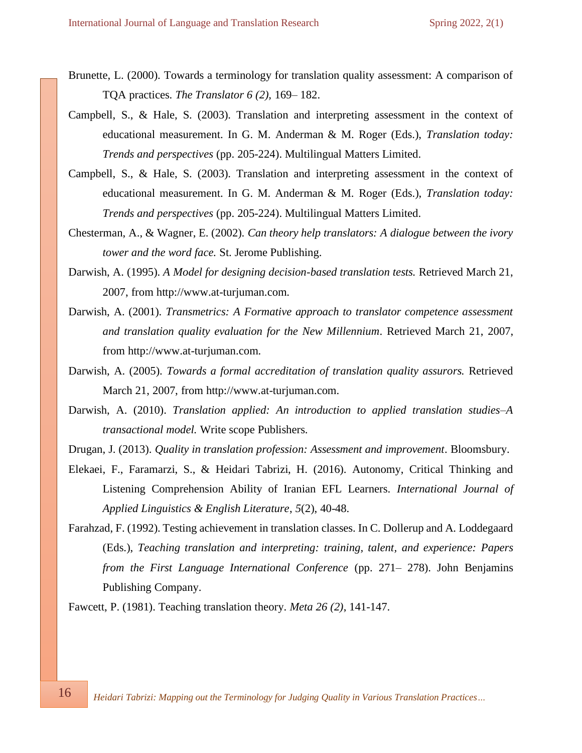- Brunette, L. (2000). Towards a terminology for translation quality assessment: A comparison of TQA practices. *The Translator 6 (2),* 169– 182.
- Campbell, S., & Hale, S. (2003). Translation and interpreting assessment in the context of educational measurement. In G. M. Anderman & M. Roger (Eds.), *Translation today: Trends and perspectives* (pp. 205-224). Multilingual Matters Limited.
- Campbell, S., & Hale, S. (2003). Translation and interpreting assessment in the context of educational measurement. In G. M. Anderman & M. Roger (Eds.), *Translation today: Trends and perspectives* (pp. 205-224). Multilingual Matters Limited.
- Chesterman, A., & Wagner, E. (2002). *Can theory help translators: A dialogue between the ivory tower and the word face.* St. Jerome Publishing.
- Darwish, A. (1995). *A Model for designing decision-based translation tests.* Retrieved March 21, 2007, from [http://www.at-turjuman.com.](http://www.at-turjuman.com/)
- Darwish, A. (2001). *Transmetrics: A Formative approach to translator competence assessment and translation quality evaluation for the New Millennium*. Retrieved March 21, 2007, from [http://www.at-turjuman.com.](http://www.at-turjuman.com/)
- Darwish, A. (2005). *Towards a formal accreditation of translation quality assurors.* Retrieved March 21, 2007, from [http://www.at-turjuman.com.](http://www.at-turjuman.com/)
- Darwish, A. (2010). *Translation applied: An introduction to applied translation studies–A transactional model.* Write scope Publishers.
- Drugan, J. (2013). *Quality in translation profession: Assessment and improvement*. Bloomsbury.
- Elekaei, F., Faramarzi, S., & Heidari Tabrizi, H. (2016). Autonomy, Critical Thinking and Listening Comprehension Ability of Iranian EFL Learners. *International Journal of Applied Linguistics & English Literature*, *5*(2), 40-48.
- Farahzad, F. (1992). Testing achievement in translation classes. In C. Dollerup and A. Loddegaard (Eds.), *Teaching translation and interpreting: training, talent, and experience: Papers from the First Language International Conference* (pp. 271– 278). John Benjamins Publishing Company.

Fawcett, P. (1981). Teaching translation theory. *Meta 26 (2)*, 141-147.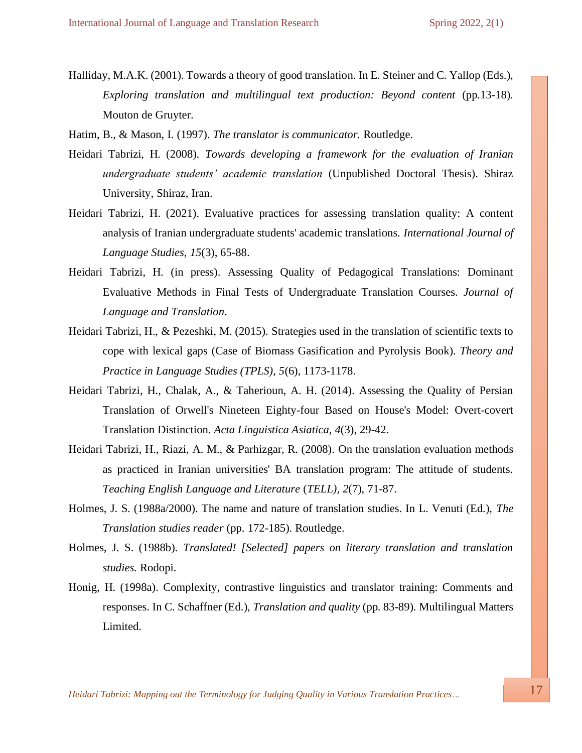Halliday, M.A.K. (2001). Towards a theory of good translation. In E. Steiner and C. Yallop (Eds.), *Exploring translation and multilingual text production: Beyond content* (pp.13-18)*.* Mouton de Gruyter.

Hatim, B., & Mason, I. (1997). *The translator is communicator.* Routledge.

- Heidari Tabrizi, H. (2008). *Towards developing a framework for the evaluation of Iranian undergraduate students' academic translation* (Unpublished Doctoral Thesis). Shiraz University, Shiraz, Iran.
- Heidari Tabrizi, H. (2021). Evaluative practices for assessing translation quality: A content analysis of Iranian undergraduate students' academic translations. *International Journal of Language Studies*, *15*(3), 65-88.
- Heidari Tabrizi, H. (in press). Assessing Quality of Pedagogical Translations: Dominant Evaluative Methods in Final Tests of Undergraduate Translation Courses. *Journal of Language and Translation*.
- Heidari Tabrizi, H., & Pezeshki, M. (2015). Strategies used in the translation of scientific texts to cope with lexical gaps (Case of Biomass Gasification and Pyrolysis Book). *Theory and Practice in Language Studies (TPLS), 5*(6), 1173-1178.
- Heidari Tabrizi, H., Chalak, A., & Taherioun, A. H. (2014). Assessing the Quality of Persian Translation of Orwell's Nineteen Eighty-four Based on House's Model: Overt-covert Translation Distinction. *Acta Linguistica Asiatica, 4*(3), 29-42.
- Heidari Tabrizi, H., Riazi, A. M., & Parhizgar, R. (2008). On the translation evaluation methods as practiced in Iranian universities' BA translation program: The attitude of students. *Teaching English Language and Literature* (*TELL), 2*(7), 71-87.
- Holmes, J. S. (1988a/2000). The name and nature of translation studies. In L. Venuti (Ed.), *The Translation studies reader* (pp. 172-185). Routledge.
- Holmes, J. S. (1988b). *Translated! [Selected] papers on literary translation and translation studies.* Rodopi.
- Honig, H. (1998a). Complexity, contrastive linguistics and translator training: Comments and responses. In C. Schaffner (Ed.), *Translation and quality* (pp. 83-89)*.* Multilingual Matters Limited.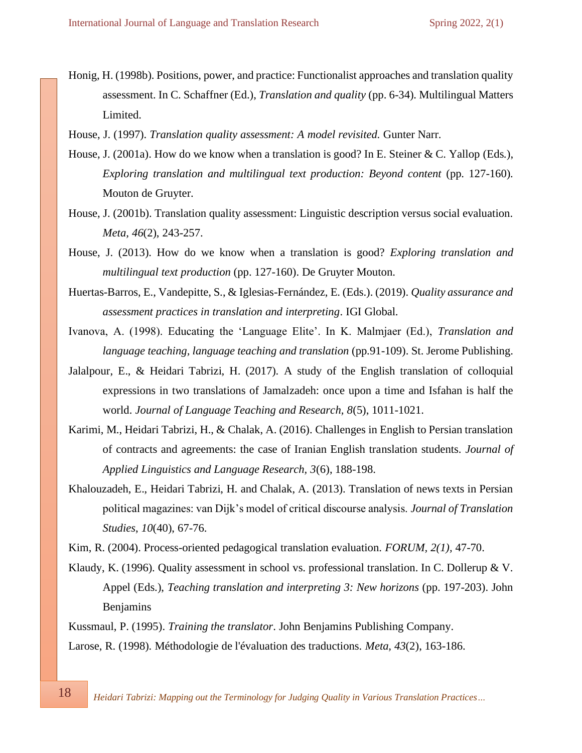- Honig, H. (1998b). Positions, power, and practice: Functionalist approaches and translation quality assessment. In C. Schaffner (Ed.), *Translation and quality* (pp. 6-34)*.* Multilingual Matters Limited.
- House, J. (1997). *Translation quality assessment: A model revisited.* Gunter Narr.
- House, J. (2001a). How do we know when a translation is good? In E. Steiner & C. Yallop (Eds.), *Exploring translation and multilingual text production: Beyond content* (pp. 127-160)*.*  Mouton de Gruyter.
- House, J. (2001b). Translation quality assessment: Linguistic description versus social evaluation. *Meta, 46*(2), 243-257.
- House, J. (2013). How do we know when a translation is good? *Exploring translation and multilingual text production* (pp. 127-160). De Gruyter Mouton.
- Huertas-Barros, E., Vandepitte, S., & Iglesias-Fernández, E. (Eds.). (2019). *Quality assurance and assessment practices in translation and interpreting*. IGI Global.
- Ivanova, A. (1998). Educating the 'Language Elite'. In K. Malmjaer (Ed.), *Translation and language teaching, language teaching and translation* (pp.91-109). St. Jerome Publishing.
- Jalalpour, E., & Heidari Tabrizi, H. (2017). A study of the English translation of colloquial expressions in two translations of Jamalzadeh: once upon a time and Isfahan is half the world. *Journal of Language Teaching and Research, 8*(5), 1011-1021.
- Karimi, M., Heidari Tabrizi, H., & Chalak, A. (2016). Challenges in English to Persian translation of contracts and agreements: the case of Iranian English translation students. *Journal of Applied Linguistics and Language Research, 3*(6), 188-198.
- Khalouzadeh, E., Heidari Tabrizi, H. and Chalak, A. (2013). Translation of news texts in Persian political magazines: van Dijk's model of critical discourse analysis. *Journal of Translation Studies*, *10*(40), 67-76.
- Kim, R. (2004). Process-oriented pedagogical translation evaluation. *FORUM, 2(1),* 47-70.
- Klaudy, K. (1996). Quality assessment in school vs. professional translation. In C. Dollerup & V. Appel (Eds.), *Teaching translation and interpreting 3: New horizons* (pp. 197-203). John Benjamins
- Kussmaul, P. (1995). *Training the translator*. John Benjamins Publishing Company.
- Larose, R. (1998). Méthodologie de l'évaluation des traductions. *Meta, 43*(2), 163-186.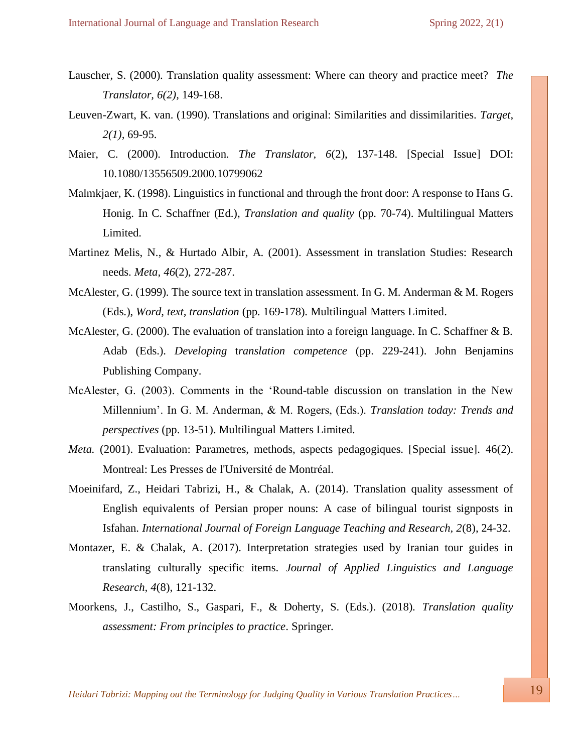- Lauscher, S. (2000). Translation quality assessment: Where can theory and practice meet? *The Translator, 6(2),* 149-168.
- Leuven-Zwart, K. van. (1990). Translations and original: Similarities and dissimilarities. *Target, 2(1),* 69-95.
- Maier, C. (2000). Introduction. *The Translator, 6*(2), 137-148. [Special Issue] DOI: 10.1080/13556509.2000.10799062
- Malmkjaer, K. (1998). Linguistics in functional and through the front door: A response to Hans G. Honig. In C. Schaffner (Ed.), *Translation and quality* (pp. 70-74). Multilingual Matters Limited.
- Martinez Melis, N., & Hurtado Albir, A. (2001). Assessment in translation Studies: Research needs. *Meta, 46*(2), 272-287.
- McAlester, G. (1999). The source text in translation assessment. In G. M. Anderman & M. Rogers (Eds.), *Word, text, translation* (pp. 169-178). Multilingual Matters Limited.
- McAlester, G. (2000). The evaluation of translation into a foreign language. In C. Schaffner & B. Adab (Eds.). *Developing* t*ranslation competence* (pp. 229-241). John Benjamins Publishing Company.
- McAlester, G. (2003). Comments in the 'Round-table discussion on translation in the New Millennium'. In G. M. Anderman, & M. Rogers, (Eds.). *Translation today: Trends and perspectives* (pp. 13-51). Multilingual Matters Limited.
- *Meta.* (2001). Evaluation: Parametres, methods, aspects pedagogiques. [Special issue]. 46(2). Montreal: Les Presses de l'Université de Montréal.
- Moeinifard, Z., Heidari Tabrizi, H., & Chalak, A. (2014). Translation quality assessment of English equivalents of Persian proper nouns: A case of bilingual tourist signposts in Isfahan. *International Journal of Foreign Language Teaching and Research, 2*(8), 24-32.
- Montazer, E. & Chalak, A. (2017). Interpretation strategies used by Iranian tour guides in translating culturally specific items. *Journal of Applied Linguistics and Language Research, 4*(8), 121-132.
- Moorkens, J., Castilho, S., Gaspari, F., & Doherty, S. (Eds.). (2018). *Translation quality assessment: From principles to practice*. Springer.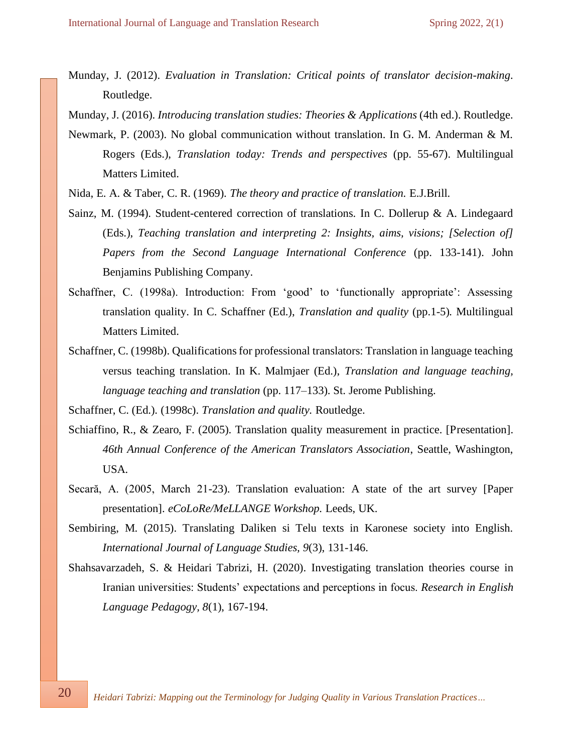Munday, J. (2012). *Evaluation in Translation: Critical points of translator decision-making*. Routledge.

Munday, J. (2016). *Introducing translation studies: Theories & Applications* (4th ed.). Routledge.

- Newmark, P. (2003). No global communication without translation. In G. M. Anderman & M. Rogers (Eds.), *Translation today: Trends and perspectives* (pp. 55-67). Multilingual Matters Limited.
- Nida, E. A. & Taber, C. R. (1969). *The theory and practice of translation.* E.J.Brill.
- Sainz, M. (1994). Student-centered correction of translations. In C. Dollerup & A. Lindegaard (Eds.), *Teaching translation and interpreting 2: Insights, aims, visions; [Selection of] Papers from the Second Language International Conference* (pp. 133-141). John Benjamins Publishing Company.
- Schaffner, C. (1998a). Introduction: From 'good' to 'functionally appropriate': Assessing translation quality. In C. Schaffner (Ed.), *Translation and quality* (pp.1-5)*.* Multilingual Matters Limited.
- Schaffner, C. (1998b). Qualifications for professional translators: Translation in language teaching versus teaching translation. In K. Malmjaer (Ed.), *Translation and language teaching, language teaching and translation* (pp. 117–133). St. Jerome Publishing.

Schaffner, C. (Ed.). (1998c). *Translation and quality.* Routledge.

- Schiaffino, R., & Zearo, F. (2005). Translation quality measurement in practice. [Presentation]. *46th Annual Conference of the American Translators Association*, Seattle, Washington, USA*.*
- Secară, A. (2005, March 21-23). Translation evaluation: A state of the art survey [Paper presentation]. *eCoLoRe/MeLLANGE Workshop.* Leeds, UK.
- Sembiring, M. (2015). Translating Daliken si Telu texts in Karonese society into English. *International Journal of Language Studies, 9*(3), 131-146.
- Shahsavarzadeh, S. & Heidari Tabrizi, H. (2020). Investigating translation theories course in Iranian universities: Students' expectations and perceptions in focus. *Research in English Language Pedagogy, 8*(1), 167-194.